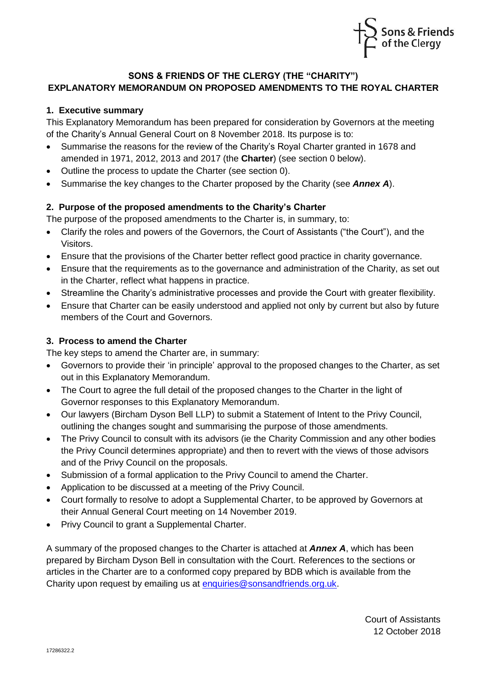

## **SONS & FRIENDS OF THE CLERGY (THE "CHARITY") EXPLANATORY MEMORANDUM ON PROPOSED AMENDMENTS TO THE ROYAL CHARTER**

## **1. Executive summary**

This Explanatory Memorandum has been prepared for consideration by Governors at the meeting of the Charity's Annual General Court on 8 November 2018. Its purpose is to:

- Summarise the reasons for the review of the Charity's Royal Charter granted in 1678 and amended in 1971, 2012, 2013 and 2017 (the **Charter**) (see section [0](#page-0-0) below).
- Outline the process to update the Charter (see section [0\)](#page-0-1).
- Summarise the key changes to the Charter proposed by the Charity (see *Annex A*).

## <span id="page-0-0"></span>**2. Purpose of the proposed amendments to the Charity's Charter**

The purpose of the proposed amendments to the Charter is, in summary, to:

- Clarify the roles and powers of the Governors, the Court of Assistants ("the Court"), and the Visitors.
- Ensure that the provisions of the Charter better reflect good practice in charity governance.
- Ensure that the requirements as to the governance and administration of the Charity, as set out in the Charter, reflect what happens in practice.
- Streamline the Charity's administrative processes and provide the Court with greater flexibility.
- Ensure that Charter can be easily understood and applied not only by current but also by future members of the Court and Governors.

## <span id="page-0-1"></span>**3. Process to amend the Charter**

The key steps to amend the Charter are, in summary:

- Governors to provide their 'in principle' approval to the proposed changes to the Charter, as set out in this Explanatory Memorandum.
- The Court to agree the full detail of the proposed changes to the Charter in the light of Governor responses to this Explanatory Memorandum.
- Our lawyers (Bircham Dyson Bell LLP) to submit a Statement of Intent to the Privy Council, outlining the changes sought and summarising the purpose of those amendments.
- The Privy Council to consult with its advisors (ie the Charity Commission and any other bodies the Privy Council determines appropriate) and then to revert with the views of those advisors and of the Privy Council on the proposals.
- Submission of a formal application to the Privy Council to amend the Charter.
- Application to be discussed at a meeting of the Privy Council.
- Court formally to resolve to adopt a Supplemental Charter, to be approved by Governors at their Annual General Court meeting on 14 November 2019.
- Privy Council to grant a Supplemental Charter.

A summary of the proposed changes to the Charter is attached at *Annex A*, which has been prepared by Bircham Dyson Bell in consultation with the Court. References to the sections or articles in the Charter are to a conformed copy prepared by BDB which is available from the Charity upon request by emailing us at [enquiries@sonsandfriends.org.uk.](mailto:enquiries@sonsandfriends.org.uk)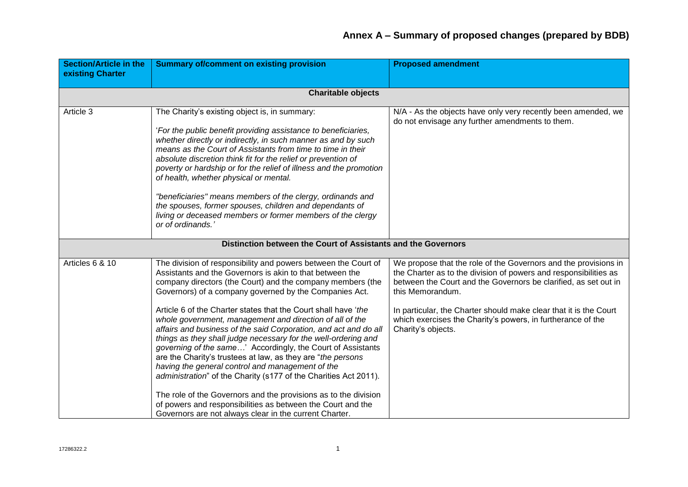| <b>Section/Article in the</b><br>existing Charter | <b>Summary of/comment on existing provision</b>                                                                                                                                                                                                                                                                                                                                                                                                                                                                                                                                                                                                                                                                                                                                                                                                                                                                                                                           | <b>Proposed amendment</b>                                                                                                                                                                                                                                                                                                                                                            |  |  |
|---------------------------------------------------|---------------------------------------------------------------------------------------------------------------------------------------------------------------------------------------------------------------------------------------------------------------------------------------------------------------------------------------------------------------------------------------------------------------------------------------------------------------------------------------------------------------------------------------------------------------------------------------------------------------------------------------------------------------------------------------------------------------------------------------------------------------------------------------------------------------------------------------------------------------------------------------------------------------------------------------------------------------------------|--------------------------------------------------------------------------------------------------------------------------------------------------------------------------------------------------------------------------------------------------------------------------------------------------------------------------------------------------------------------------------------|--|--|
|                                                   | <b>Charitable objects</b>                                                                                                                                                                                                                                                                                                                                                                                                                                                                                                                                                                                                                                                                                                                                                                                                                                                                                                                                                 |                                                                                                                                                                                                                                                                                                                                                                                      |  |  |
| Article 3                                         | The Charity's existing object is, in summary:<br>'For the public benefit providing assistance to beneficiaries,<br>whether directly or indirectly, in such manner as and by such<br>means as the Court of Assistants from time to time in their<br>absolute discretion think fit for the relief or prevention of<br>poverty or hardship or for the relief of illness and the promotion<br>of health, whether physical or mental.<br>"beneficiaries" means members of the clergy, ordinands and<br>the spouses, former spouses, children and dependants of<br>living or deceased members or former members of the clergy<br>or of ordinands.                                                                                                                                                                                                                                                                                                                               | N/A - As the objects have only very recently been amended, we<br>do not envisage any further amendments to them.                                                                                                                                                                                                                                                                     |  |  |
|                                                   | Distinction between the Court of Assistants and the Governors                                                                                                                                                                                                                                                                                                                                                                                                                                                                                                                                                                                                                                                                                                                                                                                                                                                                                                             |                                                                                                                                                                                                                                                                                                                                                                                      |  |  |
| Articles 6 & 10                                   | The division of responsibility and powers between the Court of<br>Assistants and the Governors is akin to that between the<br>company directors (the Court) and the company members (the<br>Governors) of a company governed by the Companies Act.<br>Article 6 of the Charter states that the Court shall have 'the<br>whole government, management and direction of all of the<br>affairs and business of the said Corporation, and act and do all<br>things as they shall judge necessary for the well-ordering and<br>governing of the same' Accordingly, the Court of Assistants<br>are the Charity's trustees at law, as they are "the persons"<br>having the general control and management of the<br>administration" of the Charity (s177 of the Charities Act 2011).<br>The role of the Governors and the provisions as to the division<br>of powers and responsibilities as between the Court and the<br>Governors are not always clear in the current Charter. | We propose that the role of the Governors and the provisions in<br>the Charter as to the division of powers and responsibilities as<br>between the Court and the Governors be clarified, as set out in<br>this Memorandum.<br>In particular, the Charter should make clear that it is the Court<br>which exercises the Charity's powers, in furtherance of the<br>Charity's objects. |  |  |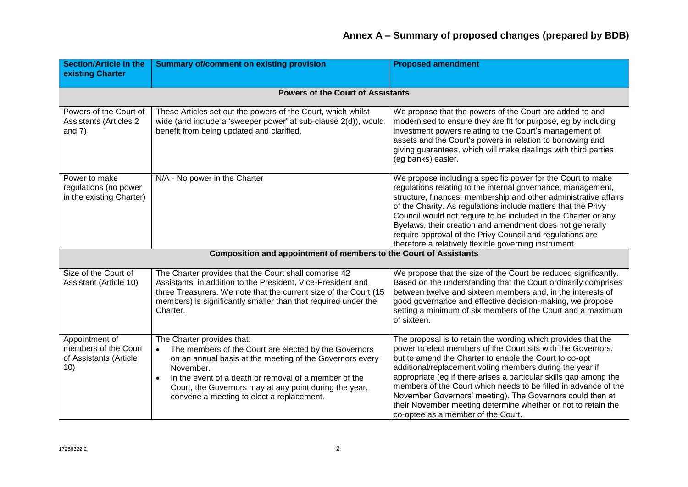| <b>Section/Article in the</b><br>existing Charter                       | <b>Summary of/comment on existing provision</b>                                                                                                                                                                                                                                                                                           | <b>Proposed amendment</b>                                                                                                                                                                                                                                                                                                                                                                                                                                                                                                                                       |  |
|-------------------------------------------------------------------------|-------------------------------------------------------------------------------------------------------------------------------------------------------------------------------------------------------------------------------------------------------------------------------------------------------------------------------------------|-----------------------------------------------------------------------------------------------------------------------------------------------------------------------------------------------------------------------------------------------------------------------------------------------------------------------------------------------------------------------------------------------------------------------------------------------------------------------------------------------------------------------------------------------------------------|--|
|                                                                         | <b>Powers of the Court of Assistants</b>                                                                                                                                                                                                                                                                                                  |                                                                                                                                                                                                                                                                                                                                                                                                                                                                                                                                                                 |  |
| Powers of the Court of<br><b>Assistants (Articles 2</b><br>and $7)$     | These Articles set out the powers of the Court, which whilst<br>wide (and include a 'sweeper power' at sub-clause 2(d)), would<br>benefit from being updated and clarified.                                                                                                                                                               | We propose that the powers of the Court are added to and<br>modernised to ensure they are fit for purpose, eg by including<br>investment powers relating to the Court's management of<br>assets and the Court's powers in relation to borrowing and<br>giving guarantees, which will make dealings with third parties<br>(eg banks) easier.                                                                                                                                                                                                                     |  |
| Power to make<br>regulations (no power<br>in the existing Charter)      | N/A - No power in the Charter                                                                                                                                                                                                                                                                                                             | We propose including a specific power for the Court to make<br>regulations relating to the internal governance, management,<br>structure, finances, membership and other administrative affairs<br>of the Charity. As regulations include matters that the Privy<br>Council would not require to be included in the Charter or any<br>Byelaws, their creation and amendment does not generally<br>require approval of the Privy Council and regulations are<br>therefore a relatively flexible governing instrument.                                            |  |
| Composition and appointment of members to the Court of Assistants       |                                                                                                                                                                                                                                                                                                                                           |                                                                                                                                                                                                                                                                                                                                                                                                                                                                                                                                                                 |  |
| Size of the Court of<br>Assistant (Article 10)                          | The Charter provides that the Court shall comprise 42<br>Assistants, in addition to the President, Vice-President and<br>three Treasurers. We note that the current size of the Court (15<br>members) is significantly smaller than that required under the<br>Charter.                                                                   | We propose that the size of the Court be reduced significantly.<br>Based on the understanding that the Court ordinarily comprises<br>between twelve and sixteen members and, in the interests of<br>good governance and effective decision-making, we propose<br>setting a minimum of six members of the Court and a maximum<br>of sixteen.                                                                                                                                                                                                                     |  |
| Appointment of<br>members of the Court<br>of Assistants (Article<br>10) | The Charter provides that:<br>The members of the Court are elected by the Governors<br>on an annual basis at the meeting of the Governors every<br>November.<br>In the event of a death or removal of a member of the<br>$\bullet$<br>Court, the Governors may at any point during the year,<br>convene a meeting to elect a replacement. | The proposal is to retain the wording which provides that the<br>power to elect members of the Court sits with the Governors,<br>but to amend the Charter to enable the Court to co-opt<br>additional/replacement voting members during the year if<br>appropriate (eg if there arises a particular skills gap among the<br>members of the Court which needs to be filled in advance of the<br>November Governors' meeting). The Governors could then at<br>their November meeting determine whether or not to retain the<br>co-optee as a member of the Court. |  |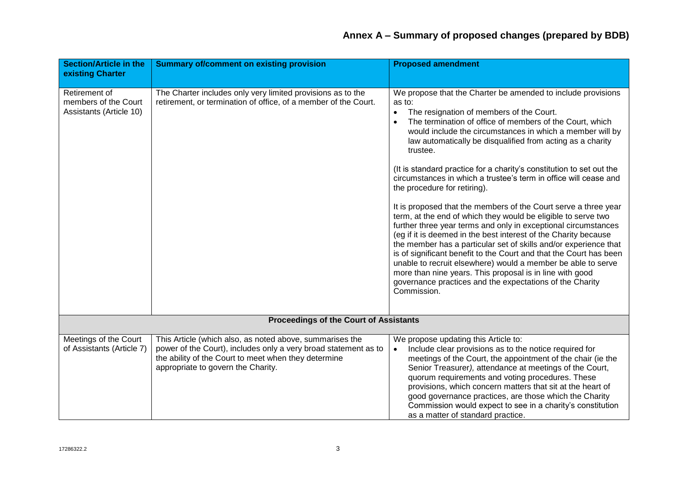| <b>Section/Article in the</b><br>existing Charter                | <b>Summary of/comment on existing provision</b>                                                                                                                                                                           | <b>Proposed amendment</b>                                                                                                                                                                                                                                                                                                                                                                                                                                                                                                                                                                                                                                                                                                                                                                                                                                                                                                                                                                                                                                                                                                   |
|------------------------------------------------------------------|---------------------------------------------------------------------------------------------------------------------------------------------------------------------------------------------------------------------------|-----------------------------------------------------------------------------------------------------------------------------------------------------------------------------------------------------------------------------------------------------------------------------------------------------------------------------------------------------------------------------------------------------------------------------------------------------------------------------------------------------------------------------------------------------------------------------------------------------------------------------------------------------------------------------------------------------------------------------------------------------------------------------------------------------------------------------------------------------------------------------------------------------------------------------------------------------------------------------------------------------------------------------------------------------------------------------------------------------------------------------|
|                                                                  |                                                                                                                                                                                                                           |                                                                                                                                                                                                                                                                                                                                                                                                                                                                                                                                                                                                                                                                                                                                                                                                                                                                                                                                                                                                                                                                                                                             |
| Retirement of<br>members of the Court<br>Assistants (Article 10) | The Charter includes only very limited provisions as to the<br>retirement, or termination of office, of a member of the Court.                                                                                            | We propose that the Charter be amended to include provisions<br>as to:<br>The resignation of members of the Court.<br>The termination of office of members of the Court, which<br>would include the circumstances in which a member will by<br>law automatically be disqualified from acting as a charity<br>trustee.<br>(It is standard practice for a charity's constitution to set out the<br>circumstances in which a trustee's term in office will cease and<br>the procedure for retiring).<br>It is proposed that the members of the Court serve a three year<br>term, at the end of which they would be eligible to serve two<br>further three year terms and only in exceptional circumstances<br>(eg if it is deemed in the best interest of the Charity because<br>the member has a particular set of skills and/or experience that<br>is of significant benefit to the Court and that the Court has been<br>unable to recruit elsewhere) would a member be able to serve<br>more than nine years. This proposal is in line with good<br>governance practices and the expectations of the Charity<br>Commission. |
|                                                                  |                                                                                                                                                                                                                           |                                                                                                                                                                                                                                                                                                                                                                                                                                                                                                                                                                                                                                                                                                                                                                                                                                                                                                                                                                                                                                                                                                                             |
| <b>Proceedings of the Court of Assistants</b>                    |                                                                                                                                                                                                                           |                                                                                                                                                                                                                                                                                                                                                                                                                                                                                                                                                                                                                                                                                                                                                                                                                                                                                                                                                                                                                                                                                                                             |
| Meetings of the Court<br>of Assistants (Article 7)               | This Article (which also, as noted above, summarises the<br>power of the Court), includes only a very broad statement as to<br>the ability of the Court to meet when they determine<br>appropriate to govern the Charity. | We propose updating this Article to:<br>Include clear provisions as to the notice required for<br>$\bullet$<br>meetings of the Court, the appointment of the chair (ie the<br>Senior Treasurer), attendance at meetings of the Court,<br>quorum requirements and voting procedures. These<br>provisions, which concern matters that sit at the heart of<br>good governance practices, are those which the Charity<br>Commission would expect to see in a charity's constitution<br>as a matter of standard practice.                                                                                                                                                                                                                                                                                                                                                                                                                                                                                                                                                                                                        |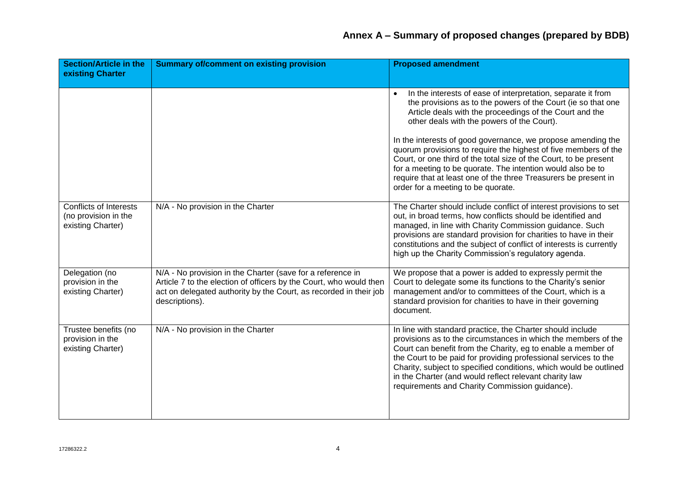| <b>Section/Article in the</b><br>existing Charter                   | <b>Summary of/comment on existing provision</b>                                                                                                                                                                         | <b>Proposed amendment</b>                                                                                                                                                                                                                                                                                                                                                                                                                        |
|---------------------------------------------------------------------|-------------------------------------------------------------------------------------------------------------------------------------------------------------------------------------------------------------------------|--------------------------------------------------------------------------------------------------------------------------------------------------------------------------------------------------------------------------------------------------------------------------------------------------------------------------------------------------------------------------------------------------------------------------------------------------|
|                                                                     |                                                                                                                                                                                                                         | In the interests of ease of interpretation, separate it from<br>the provisions as to the powers of the Court (ie so that one<br>Article deals with the proceedings of the Court and the<br>other deals with the powers of the Court).                                                                                                                                                                                                            |
|                                                                     |                                                                                                                                                                                                                         | In the interests of good governance, we propose amending the<br>quorum provisions to require the highest of five members of the<br>Court, or one third of the total size of the Court, to be present<br>for a meeting to be quorate. The intention would also be to<br>require that at least one of the three Treasurers be present in<br>order for a meeting to be quorate.                                                                     |
| Conflicts of Interests<br>(no provision in the<br>existing Charter) | N/A - No provision in the Charter                                                                                                                                                                                       | The Charter should include conflict of interest provisions to set<br>out, in broad terms, how conflicts should be identified and<br>managed, in line with Charity Commission guidance. Such<br>provisions are standard provision for charities to have in their<br>constitutions and the subject of conflict of interests is currently<br>high up the Charity Commission's regulatory agenda.                                                    |
| Delegation (no<br>provision in the<br>existing Charter)             | N/A - No provision in the Charter (save for a reference in<br>Article 7 to the election of officers by the Court, who would then<br>act on delegated authority by the Court, as recorded in their job<br>descriptions). | We propose that a power is added to expressly permit the<br>Court to delegate some its functions to the Charity's senior<br>management and/or to committees of the Court, which is a<br>standard provision for charities to have in their governing<br>document.                                                                                                                                                                                 |
| Trustee benefits (no<br>provision in the<br>existing Charter)       | N/A - No provision in the Charter                                                                                                                                                                                       | In line with standard practice, the Charter should include<br>provisions as to the circumstances in which the members of the<br>Court can benefit from the Charity, eg to enable a member of<br>the Court to be paid for providing professional services to the<br>Charity, subject to specified conditions, which would be outlined<br>in the Charter (and would reflect relevant charity law<br>requirements and Charity Commission guidance). |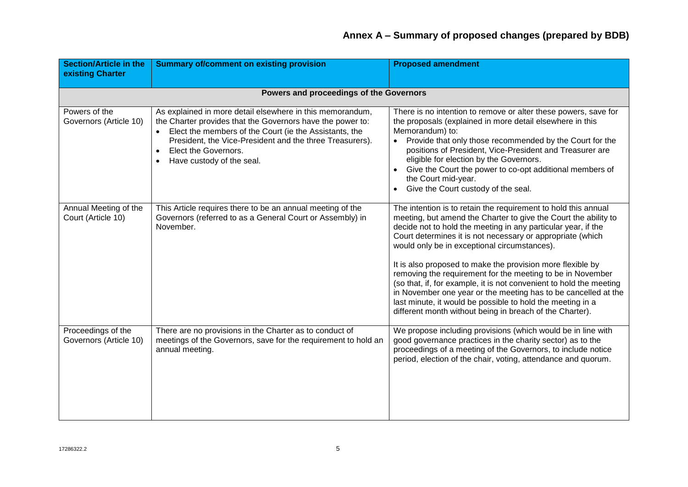| <b>Section/Article in the</b><br>existing Charter | <b>Summary of/comment on existing provision</b>                                                                                                                                                                                                                                                    | <b>Proposed amendment</b>                                                                                                                                                                                                                                                                                                                                                                                                                                                                                                                                                                                                                                                                                       |  |
|---------------------------------------------------|----------------------------------------------------------------------------------------------------------------------------------------------------------------------------------------------------------------------------------------------------------------------------------------------------|-----------------------------------------------------------------------------------------------------------------------------------------------------------------------------------------------------------------------------------------------------------------------------------------------------------------------------------------------------------------------------------------------------------------------------------------------------------------------------------------------------------------------------------------------------------------------------------------------------------------------------------------------------------------------------------------------------------------|--|
| Powers and proceedings of the Governors           |                                                                                                                                                                                                                                                                                                    |                                                                                                                                                                                                                                                                                                                                                                                                                                                                                                                                                                                                                                                                                                                 |  |
| Powers of the<br>Governors (Article 10)           | As explained in more detail elsewhere in this memorandum,<br>the Charter provides that the Governors have the power to:<br>Elect the members of the Court (ie the Assistants, the<br>President, the Vice-President and the three Treasurers).<br>Elect the Governors.<br>Have custody of the seal. | There is no intention to remove or alter these powers, save for<br>the proposals (explained in more detail elsewhere in this<br>Memorandum) to:<br>Provide that only those recommended by the Court for the<br>$\bullet$<br>positions of President, Vice-President and Treasurer are<br>eligible for election by the Governors.<br>Give the Court the power to co-opt additional members of<br>the Court mid-year.<br>Give the Court custody of the seal.                                                                                                                                                                                                                                                       |  |
| Annual Meeting of the<br>Court (Article 10)       | This Article requires there to be an annual meeting of the<br>Governors (referred to as a General Court or Assembly) in<br>November.                                                                                                                                                               | The intention is to retain the requirement to hold this annual<br>meeting, but amend the Charter to give the Court the ability to<br>decide not to hold the meeting in any particular year, if the<br>Court determines it is not necessary or appropriate (which<br>would only be in exceptional circumstances).<br>It is also proposed to make the provision more flexible by<br>removing the requirement for the meeting to be in November<br>(so that, if, for example, it is not convenient to hold the meeting<br>in November one year or the meeting has to be cancelled at the<br>last minute, it would be possible to hold the meeting in a<br>different month without being in breach of the Charter). |  |
| Proceedings of the<br>Governors (Article 10)      | There are no provisions in the Charter as to conduct of<br>meetings of the Governors, save for the requirement to hold an<br>annual meeting.                                                                                                                                                       | We propose including provisions (which would be in line with<br>good governance practices in the charity sector) as to the<br>proceedings of a meeting of the Governors, to include notice<br>period, election of the chair, voting, attendance and quorum.                                                                                                                                                                                                                                                                                                                                                                                                                                                     |  |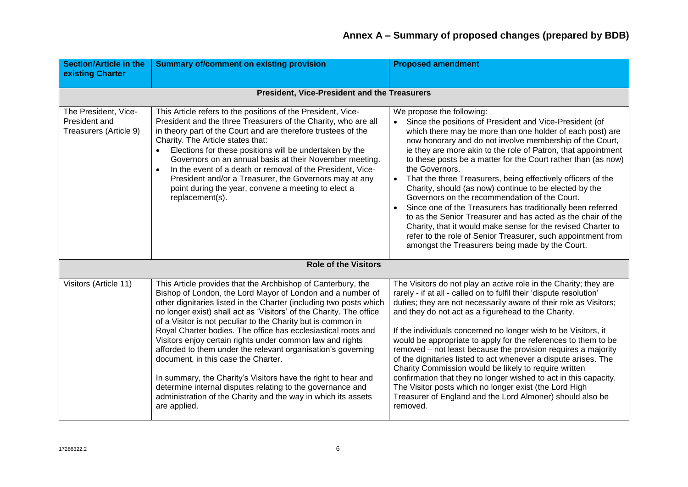| <b>Section/Article in the</b><br>existing Charter               | <b>Summary of/comment on existing provision</b>                                                                                                                                                                                                                                                                                                                                                                                                                                                                                                                                                                                                                                                                                                                                              | <b>Proposed amendment</b>                                                                                                                                                                                                                                                                                                                                                                                                                                                                                                                                                                                                                                                                                                                                                                                                                                                                |
|-----------------------------------------------------------------|----------------------------------------------------------------------------------------------------------------------------------------------------------------------------------------------------------------------------------------------------------------------------------------------------------------------------------------------------------------------------------------------------------------------------------------------------------------------------------------------------------------------------------------------------------------------------------------------------------------------------------------------------------------------------------------------------------------------------------------------------------------------------------------------|------------------------------------------------------------------------------------------------------------------------------------------------------------------------------------------------------------------------------------------------------------------------------------------------------------------------------------------------------------------------------------------------------------------------------------------------------------------------------------------------------------------------------------------------------------------------------------------------------------------------------------------------------------------------------------------------------------------------------------------------------------------------------------------------------------------------------------------------------------------------------------------|
|                                                                 |                                                                                                                                                                                                                                                                                                                                                                                                                                                                                                                                                                                                                                                                                                                                                                                              |                                                                                                                                                                                                                                                                                                                                                                                                                                                                                                                                                                                                                                                                                                                                                                                                                                                                                          |
|                                                                 | President, Vice-President and the Treasurers                                                                                                                                                                                                                                                                                                                                                                                                                                                                                                                                                                                                                                                                                                                                                 |                                                                                                                                                                                                                                                                                                                                                                                                                                                                                                                                                                                                                                                                                                                                                                                                                                                                                          |
| The President, Vice-<br>President and<br>Treasurers (Article 9) | This Article refers to the positions of the President, Vice-<br>President and the three Treasurers of the Charity, who are all<br>in theory part of the Court and are therefore trustees of the<br>Charity. The Article states that:<br>Elections for these positions will be undertaken by the<br>Governors on an annual basis at their November meeting.<br>In the event of a death or removal of the President, Vice-<br>President and/or a Treasurer, the Governors may at any<br>point during the year, convene a meeting to elect a<br>replacement(s).                                                                                                                                                                                                                                 | We propose the following:<br>Since the positions of President and Vice-President (of<br>$\bullet$<br>which there may be more than one holder of each post) are<br>now honorary and do not involve membership of the Court,<br>ie they are more akin to the role of Patron, that appointment<br>to these posts be a matter for the Court rather than (as now)<br>the Governors.<br>That the three Treasurers, being effectively officers of the<br>$\bullet$<br>Charity, should (as now) continue to be elected by the<br>Governors on the recommendation of the Court.<br>Since one of the Treasurers has traditionally been referred<br>to as the Senior Treasurer and has acted as the chair of the<br>Charity, that it would make sense for the revised Charter to<br>refer to the role of Senior Treasurer, such appointment from<br>amongst the Treasurers being made by the Court. |
|                                                                 | <b>Role of the Visitors</b>                                                                                                                                                                                                                                                                                                                                                                                                                                                                                                                                                                                                                                                                                                                                                                  |                                                                                                                                                                                                                                                                                                                                                                                                                                                                                                                                                                                                                                                                                                                                                                                                                                                                                          |
| Visitors (Article 11)                                           | This Article provides that the Archbishop of Canterbury, the<br>Bishop of London, the Lord Mayor of London and a number of<br>other dignitaries listed in the Charter (including two posts which<br>no longer exist) shall act as 'Visitors' of the Charity. The office<br>of a Visitor is not peculiar to the Charity but is common in<br>Royal Charter bodies. The office has ecclesiastical roots and<br>Visitors enjoy certain rights under common law and rights<br>afforded to them under the relevant organisation's governing<br>document, in this case the Charter.<br>In summary, the Charity's Visitors have the right to hear and<br>determine internal disputes relating to the governance and<br>administration of the Charity and the way in which its assets<br>are applied. | The Visitors do not play an active role in the Charity; they are<br>rarely - if at all - called on to fulfil their 'dispute resolution'<br>duties; they are not necessarily aware of their role as Visitors;<br>and they do not act as a figurehead to the Charity.<br>If the individuals concerned no longer wish to be Visitors, it<br>would be appropriate to apply for the references to them to be<br>removed - not least because the provision requires a majority<br>of the dignitaries listed to act whenever a dispute arises. The<br>Charity Commission would be likely to require written<br>confirmation that they no longer wished to act in this capacity.<br>The Visitor posts which no longer exist (the Lord High<br>Treasurer of England and the Lord Almoner) should also be<br>removed.                                                                              |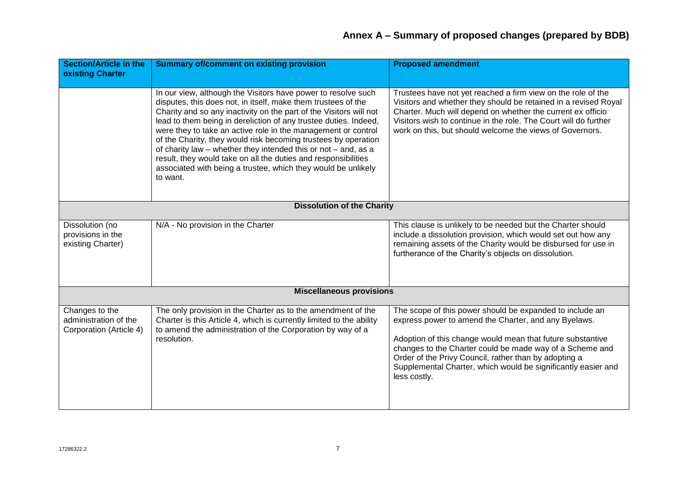| <b>Section/Article in the</b><br>existing Charter                  | <b>Summary of/comment on existing provision</b>                                                                                                                                                                                                                                                                                                                                                                                                                                                                                                                                                                              | <b>Proposed amendment</b>                                                                                                                                                                                                                                                                                                                                                            |
|--------------------------------------------------------------------|------------------------------------------------------------------------------------------------------------------------------------------------------------------------------------------------------------------------------------------------------------------------------------------------------------------------------------------------------------------------------------------------------------------------------------------------------------------------------------------------------------------------------------------------------------------------------------------------------------------------------|--------------------------------------------------------------------------------------------------------------------------------------------------------------------------------------------------------------------------------------------------------------------------------------------------------------------------------------------------------------------------------------|
|                                                                    | In our view, although the Visitors have power to resolve such<br>disputes, this does not, in itself, make them trustees of the<br>Charity and so any inactivity on the part of the Visitors will not<br>lead to them being in dereliction of any trustee duties. Indeed,<br>were they to take an active role in the management or control<br>of the Charity, they would risk becoming trustees by operation<br>of charity law – whether they intended this or not – and, as a<br>result, they would take on all the duties and responsibilities<br>associated with being a trustee, which they would be unlikely<br>to want. | Trustees have not yet reached a firm view on the role of the<br>Visitors and whether they should be retained in a revised Royal<br>Charter. Much will depend on whether the current ex officio<br>Visitors wish to continue in the role. The Court will do further<br>work on this, but should welcome the views of Governors.                                                       |
| <b>Dissolution of the Charity</b>                                  |                                                                                                                                                                                                                                                                                                                                                                                                                                                                                                                                                                                                                              |                                                                                                                                                                                                                                                                                                                                                                                      |
| Dissolution (no<br>provisions in the<br>existing Charter)          | N/A - No provision in the Charter                                                                                                                                                                                                                                                                                                                                                                                                                                                                                                                                                                                            | This clause is unlikely to be needed but the Charter should<br>include a dissolution provision, which would set out how any<br>remaining assets of the Charity would be disbursed for use in<br>furtherance of the Charity's objects on dissolution.                                                                                                                                 |
| <b>Miscellaneous provisions</b>                                    |                                                                                                                                                                                                                                                                                                                                                                                                                                                                                                                                                                                                                              |                                                                                                                                                                                                                                                                                                                                                                                      |
| Changes to the<br>administration of the<br>Corporation (Article 4) | The only provision in the Charter as to the amendment of the<br>Charter is this Article 4, which is currently limited to the ability<br>to amend the administration of the Corporation by way of a<br>resolution.                                                                                                                                                                                                                                                                                                                                                                                                            | The scope of this power should be expanded to include an<br>express power to amend the Charter, and any Byelaws.<br>Adoption of this change would mean that future substantive<br>changes to the Charter could be made way of a Scheme and<br>Order of the Privy Council, rather than by adopting a<br>Supplemental Charter, which would be significantly easier and<br>less costly. |